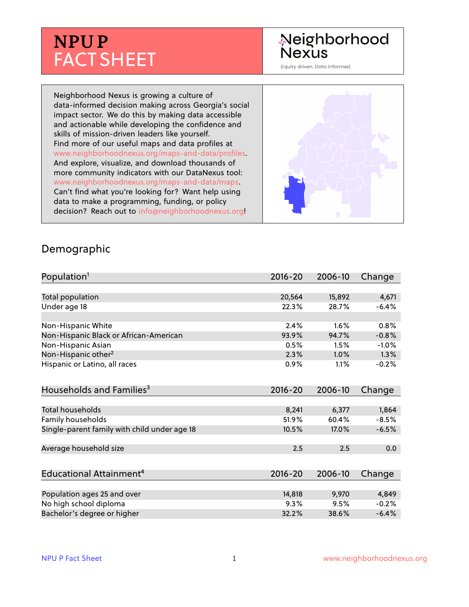# **NPU P** FACT SHEET

## Neighborhood **Nexus**

Equity driven. Data informed.

Neighborhood Nexus is growing a culture of data-informed decision making across Georgia's social impact sector. We do this by making data accessible and actionable while developing the confidence and skills of mission-driven leaders like yourself. Find more of our useful maps and data profiles at www.neighborhoodnexus.org/maps-and-data/profiles. And explore, visualize, and download thousands of more community indicators with our DataNexus tool: www.neighborhoodnexus.org/maps-and-data/maps. Can't find what you're looking for? Want help using data to make a programming, funding, or policy decision? Reach out to [info@neighborhoodnexus.org!](mailto:info@neighborhoodnexus.org)



#### Demographic

| Population <sup>1</sup>                      | $2016 - 20$ | 2006-10 | Change  |
|----------------------------------------------|-------------|---------|---------|
|                                              |             |         |         |
| Total population                             | 20,564      | 15,892  | 4,671   |
| Under age 18                                 | 22.3%       | 28.7%   | $-6.4%$ |
|                                              |             |         |         |
| Non-Hispanic White                           | 2.4%        | 1.6%    | 0.8%    |
| Non-Hispanic Black or African-American       | 93.9%       | 94.7%   | $-0.8%$ |
| Non-Hispanic Asian                           | 0.5%        | 1.5%    | $-1.0%$ |
| Non-Hispanic other <sup>2</sup>              | 2.3%        | $1.0\%$ | $1.3\%$ |
| Hispanic or Latino, all races                | 0.9%        | 1.1%    | $-0.2%$ |
| Households and Families <sup>3</sup>         | $2016 - 20$ | 2006-10 | Change  |
|                                              |             |         |         |
| <b>Total households</b>                      | 8,241       | 6,377   | 1,864   |
| Family households                            | 51.9%       | 60.4%   | $-8.5%$ |
| Single-parent family with child under age 18 | 10.5%       | 17.0%   | $-6.5%$ |
|                                              |             |         |         |
| Average household size                       | 2.5         | 2.5     | 0.0     |
|                                              |             |         |         |
| Educational Attainment <sup>4</sup>          | $2016 - 20$ | 2006-10 | Change  |
|                                              |             |         |         |
| Population ages 25 and over                  | 14,818      | 9,970   | 4,849   |
| No high school diploma                       | 9.3%        | 9.5%    | $-0.2%$ |
| Bachelor's degree or higher                  | 32.2%       | 38.6%   | $-6.4%$ |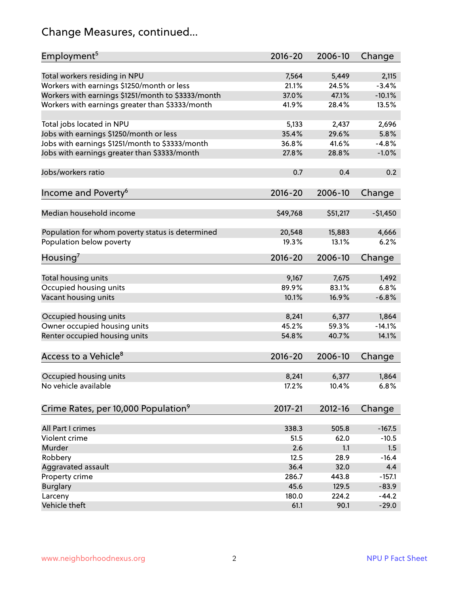## Change Measures, continued...

| Employment <sup>5</sup>                            | $2016 - 20$ | 2006-10     | Change    |
|----------------------------------------------------|-------------|-------------|-----------|
|                                                    |             |             |           |
| Total workers residing in NPU                      | 7,564       | 5,449       | 2,115     |
| Workers with earnings \$1250/month or less         | 21.1%       | 24.5%       | $-3.4%$   |
| Workers with earnings \$1251/month to \$3333/month | 37.0%       | 47.1%       | $-10.1%$  |
| Workers with earnings greater than \$3333/month    | 41.9%       | 28.4%       | 13.5%     |
| Total jobs located in NPU                          | 5,133       | 2,437       | 2,696     |
| Jobs with earnings \$1250/month or less            | 35.4%       | 29.6%       | 5.8%      |
| Jobs with earnings \$1251/month to \$3333/month    | 36.8%       | 41.6%       | $-4.8%$   |
| Jobs with earnings greater than \$3333/month       | 27.8%       | 28.8%       | $-1.0%$   |
|                                                    |             |             |           |
| Jobs/workers ratio                                 | 0.7         | 0.4         | 0.2       |
| Income and Poverty <sup>6</sup>                    | $2016 - 20$ | 2006-10     | Change    |
|                                                    |             |             |           |
| Median household income                            | \$49,768    | \$51,217    | $-51,450$ |
|                                                    |             |             |           |
| Population for whom poverty status is determined   | 20,548      | 15,883      | 4,666     |
| Population below poverty                           | 19.3%       | 13.1%       | 6.2%      |
|                                                    |             |             |           |
| Housing <sup>7</sup>                               | $2016 - 20$ | 2006-10     | Change    |
| Total housing units                                | 9,167       | 7,675       | 1,492     |
| Occupied housing units                             | 89.9%       | 83.1%       | 6.8%      |
| Vacant housing units                               | 10.1%       | 16.9%       | $-6.8%$   |
|                                                    |             |             |           |
| Occupied housing units                             | 8,241       | 6,377       | 1,864     |
| Owner occupied housing units                       | 45.2%       | 59.3%       | $-14.1%$  |
| Renter occupied housing units                      | 54.8%       | 40.7%       | 14.1%     |
|                                                    |             |             |           |
| Access to a Vehicle <sup>8</sup>                   | $2016 - 20$ | 2006-10     | Change    |
|                                                    |             |             |           |
| Occupied housing units                             | 8,241       | 6,377       | 1,864     |
| No vehicle available                               | 17.2%       | 10.4%       | 6.8%      |
|                                                    |             |             |           |
| Crime Rates, per 10,000 Population <sup>9</sup>    | 2017-21     | $2012 - 16$ | Change    |
|                                                    |             |             |           |
| All Part I crimes                                  | 338.3       | 505.8       | $-167.5$  |
| Violent crime                                      | 51.5        | 62.0        | $-10.5$   |
| Murder                                             | 2.6         | 1.1         | 1.5       |
| Robbery                                            | 12.5        | 28.9        | $-16.4$   |
| Aggravated assault                                 | 36.4        | 32.0        | 4.4       |
| Property crime                                     | 286.7       | 443.8       | $-157.1$  |
| <b>Burglary</b>                                    | 45.6        | 129.5       | $-83.9$   |
| Larceny                                            | 180.0       | 224.2       | $-44.2$   |
| Vehicle theft                                      | 61.1        | 90.1        | $-29.0$   |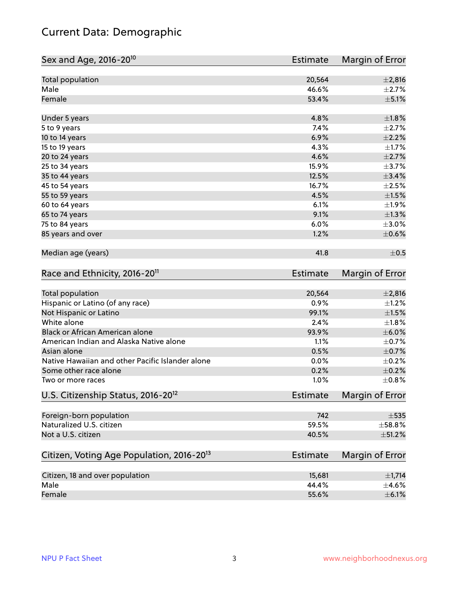## Current Data: Demographic

| Sex and Age, 2016-20 <sup>10</sup>                    | Estimate        | Margin of Error |
|-------------------------------------------------------|-----------------|-----------------|
| Total population                                      | 20,564          | $\pm 2,816$     |
| Male                                                  | 46.6%           | $\pm 2.7\%$     |
| Female                                                | 53.4%           | $\pm$ 5.1%      |
| Under 5 years                                         | 4.8%            | $\pm1.8\%$      |
| 5 to 9 years                                          | 7.4%            | $\pm 2.7\%$     |
| 10 to 14 years                                        | 6.9%            | $\pm 2.2\%$     |
| 15 to 19 years                                        | 4.3%            | $\pm1.7\%$      |
| 20 to 24 years                                        | 4.6%            | $\pm 2.7\%$     |
| 25 to 34 years                                        | 15.9%           | $\pm$ 3.7%      |
| 35 to 44 years                                        | 12.5%           | ±3.4%           |
| 45 to 54 years                                        | 16.7%           | $\pm 2.5\%$     |
| 55 to 59 years                                        | 4.5%            | $\pm 1.5\%$     |
| 60 to 64 years                                        | 6.1%            | ±1.9%           |
| 65 to 74 years                                        | 9.1%            | $\pm 1.3\%$     |
| 75 to 84 years                                        | 6.0%            | $\pm 3.0\%$     |
| 85 years and over                                     | 1.2%            | $\pm$ 0.6%      |
| Median age (years)                                    | 41.8            | $\pm$ 0.5       |
| Race and Ethnicity, 2016-20 <sup>11</sup>             | <b>Estimate</b> | Margin of Error |
| Total population                                      | 20,564          | $\pm 2,816$     |
| Hispanic or Latino (of any race)                      | 0.9%            | $\pm 1.2\%$     |
| Not Hispanic or Latino                                | 99.1%           | $\pm 1.5\%$     |
| White alone                                           | 2.4%            | $\pm1.8\%$      |
| Black or African American alone                       | 93.9%           | $\pm$ 6.0%      |
| American Indian and Alaska Native alone               | 1.1%            | $\pm$ 0.7%      |
| Asian alone                                           | 0.5%            | $\pm$ 0.7%      |
| Native Hawaiian and other Pacific Islander alone      | 0.0%            | $\pm$ 0.2%      |
| Some other race alone                                 | 0.2%            | $\pm$ 0.2%      |
| Two or more races                                     | 1.0%            | $\pm$ 0.8%      |
| U.S. Citizenship Status, 2016-20 <sup>12</sup>        | Estimate        | Margin of Error |
| Foreign-born population                               | 742             | $\pm$ 535       |
| Naturalized U.S. citizen                              | 59.5%           | ±58.8%          |
| Not a U.S. citizen                                    | 40.5%           | $\pm$ 51.2%     |
| Citizen, Voting Age Population, 2016-20 <sup>13</sup> | <b>Estimate</b> | Margin of Error |
| Citizen, 18 and over population                       | 15,681          | $\pm$ 1,714     |
| Male                                                  | 44.4%           | $\pm$ 4.6%      |
| Female                                                | 55.6%           | $\pm$ 6.1%      |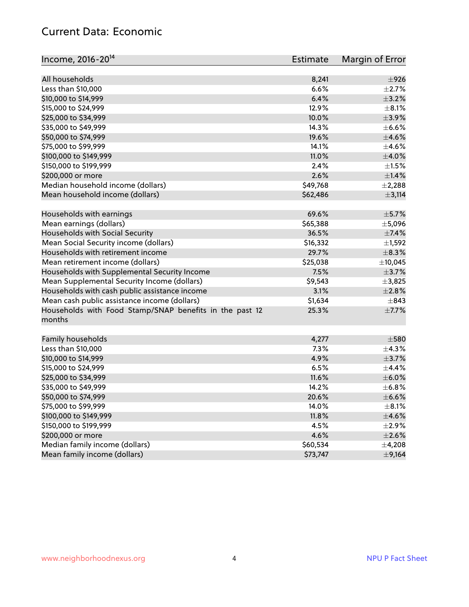#### Current Data: Economic

| Income, 2016-20 <sup>14</sup>                           | <b>Estimate</b> | Margin of Error |
|---------------------------------------------------------|-----------------|-----------------|
| All households                                          | 8,241           | $\pm$ 926       |
| Less than \$10,000                                      | 6.6%            | $\pm 2.7\%$     |
| \$10,000 to \$14,999                                    | 6.4%            | $\pm$ 3.2%      |
| \$15,000 to \$24,999                                    | 12.9%           | $\pm$ 8.1%      |
|                                                         |                 |                 |
| \$25,000 to \$34,999                                    | 10.0%           | $\pm$ 3.9%      |
| \$35,000 to \$49,999                                    | 14.3%           | $\pm$ 6.6%      |
| \$50,000 to \$74,999                                    | 19.6%           | $\pm 4.6\%$     |
| \$75,000 to \$99,999                                    | 14.1%           | $\pm 4.6\%$     |
| \$100,000 to \$149,999                                  | 11.0%           | $\pm$ 4.0%      |
| \$150,000 to \$199,999                                  | 2.4%            | $\pm 1.5\%$     |
| \$200,000 or more                                       | 2.6%            | ±1.4%           |
| Median household income (dollars)                       | \$49,768        | $\pm$ 2,288     |
| Mean household income (dollars)                         | \$62,486        | $\pm$ 3,114     |
| Households with earnings                                | 69.6%           | $\pm$ 5.7%      |
| Mean earnings (dollars)                                 | \$65,388        | ±5,096          |
| Households with Social Security                         | 36.5%           | $\pm$ 7.4%      |
| Mean Social Security income (dollars)                   | \$16,332        | $\pm$ 1,592     |
| Households with retirement income                       | 29.7%           | $\pm$ 8.3%      |
| Mean retirement income (dollars)                        | \$25,038        | ±10,045         |
| Households with Supplemental Security Income            | 7.5%            | $\pm$ 3.7%      |
| Mean Supplemental Security Income (dollars)             | \$9,543         | ±3,825          |
| Households with cash public assistance income           | 3.1%            | ±2.8%           |
| Mean cash public assistance income (dollars)            | \$1,634         | $\pm$ 843       |
| Households with Food Stamp/SNAP benefits in the past 12 | 25.3%           | $\pm$ 7.7%      |
| months                                                  |                 |                 |
| Family households                                       | 4,277           | $\pm$ 580       |
| Less than \$10,000                                      | 7.3%            | ±4.3%           |
| \$10,000 to \$14,999                                    | 4.9%            | $\pm$ 3.7%      |
| \$15,000 to \$24,999                                    | 6.5%            | ±4.4%           |
| \$25,000 to \$34,999                                    | 11.6%           | $\pm$ 6.0%      |
| \$35,000 to \$49,999                                    | 14.2%           | ±6.8%           |
| \$50,000 to \$74,999                                    | 20.6%           | $\pm$ 6.6%      |
| \$75,000 to \$99,999                                    | 14.0%           | $\pm$ 8.1%      |
| \$100,000 to \$149,999                                  | 11.8%           | $\pm$ 4.6%      |
| \$150,000 to \$199,999                                  | 4.5%            | ±2.9%           |
| \$200,000 or more                                       | 4.6%            | $\pm 2.6\%$     |
| Median family income (dollars)                          | \$60,534        | $\pm$ 4,208     |
| Mean family income (dollars)                            | \$73,747        | $\pm$ 9,164     |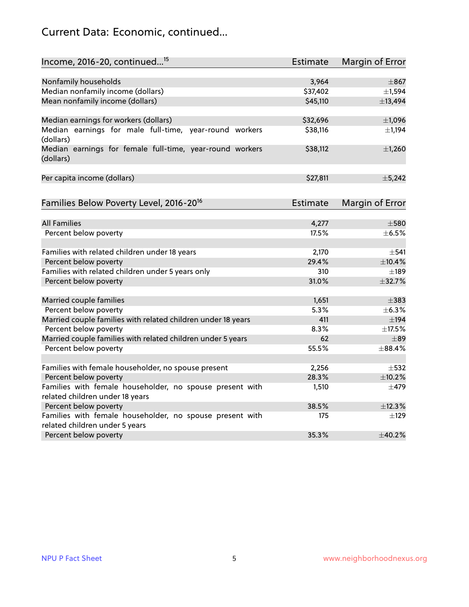## Current Data: Economic, continued...

| Income, 2016-20, continued <sup>15</sup>                                                   | Estimate        | Margin of Error        |
|--------------------------------------------------------------------------------------------|-----------------|------------------------|
|                                                                                            |                 |                        |
| Nonfamily households                                                                       | 3,964           | $\pm$ 867              |
| Median nonfamily income (dollars)                                                          | \$37,402        | ±1,594                 |
| Mean nonfamily income (dollars)                                                            | \$45,110        | ±13,494                |
| Median earnings for workers (dollars)                                                      | \$32,696        | $\pm$ 1,096            |
| Median earnings for male full-time, year-round workers                                     | \$38,116        | ±1,194                 |
| (dollars)                                                                                  |                 |                        |
| Median earnings for female full-time, year-round workers<br>(dollars)                      | \$38,112        | ±1,260                 |
| Per capita income (dollars)                                                                | \$27,811        | ±5,242                 |
|                                                                                            |                 |                        |
| Families Below Poverty Level, 2016-20 <sup>16</sup>                                        | <b>Estimate</b> | <b>Margin of Error</b> |
| <b>All Families</b>                                                                        |                 | $\pm$ 580              |
|                                                                                            | 4,277           |                        |
| Percent below poverty                                                                      | 17.5%           | $\pm$ 6.5%             |
| Families with related children under 18 years                                              | 2,170           | $\pm$ 541              |
| Percent below poverty                                                                      | 29.4%           | ±10.4%                 |
| Families with related children under 5 years only                                          | 310             | $\pm$ 189              |
| Percent below poverty                                                                      | 31.0%           | ±32.7%                 |
| Married couple families                                                                    | 1,651           | $\pm$ 383              |
| Percent below poverty                                                                      | 5.3%            | ±6.3%                  |
| Married couple families with related children under 18 years                               | 411             | $\pm$ 194              |
| Percent below poverty                                                                      | 8.3%            | $\pm$ 17.5%            |
| Married couple families with related children under 5 years                                | 62              | $\pm$ 89               |
| Percent below poverty                                                                      | 55.5%           | ±88.4%                 |
|                                                                                            |                 |                        |
| Families with female householder, no spouse present                                        | 2,256           | $\pm$ 532              |
| Percent below poverty                                                                      | 28.3%           | ±10.2%                 |
| Families with female householder, no spouse present with                                   | 1,510           | $\pm$ 479              |
| related children under 18 years                                                            |                 |                        |
| Percent below poverty                                                                      | 38.5%           | ±12.3%                 |
| Families with female householder, no spouse present with<br>related children under 5 years | 175             | $\pm$ 129              |
| Percent below poverty                                                                      | 35.3%           | ±40.2%                 |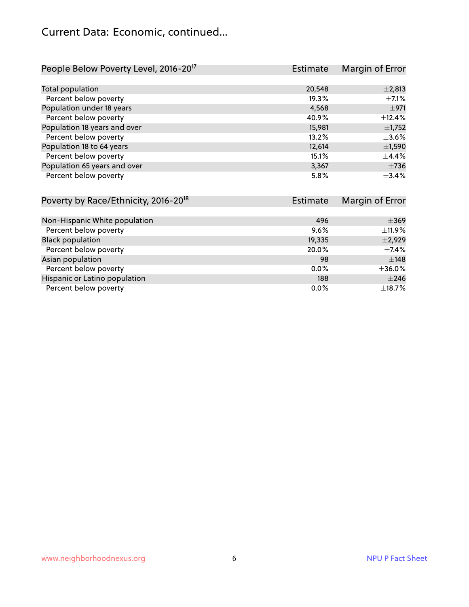#### Current Data: Economic, continued...

| People Below Poverty Level, 2016-20 <sup>17</sup> | <b>Estimate</b> | Margin of Error |
|---------------------------------------------------|-----------------|-----------------|
|                                                   |                 |                 |
| Total population                                  | 20,548          | ±2,813          |
| Percent below poverty                             | 19.3%           | $\pm$ 7.1%      |
| Population under 18 years                         | 4,568           | $\pm$ 971       |
| Percent below poverty                             | 40.9%           | ±12.4%          |
| Population 18 years and over                      | 15,981          | ±1,752          |
| Percent below poverty                             | 13.2%           | $\pm$ 3.6%      |
| Population 18 to 64 years                         | 12,614          | $\pm$ 1,590     |
| Percent below poverty                             | 15.1%           | $\pm$ 4.4%      |
| Population 65 years and over                      | 3,367           | $\pm 736$       |
| Percent below poverty                             | 5.8%            | ±3.4%           |

| Poverty by Race/Ethnicity, 2016-20 <sup>18</sup> | Estimate | Margin of Error |
|--------------------------------------------------|----------|-----------------|
|                                                  |          |                 |
| Non-Hispanic White population                    | 496      | $\pm$ 369       |
| Percent below poverty                            | 9.6%     | ±11.9%          |
| <b>Black population</b>                          | 19,335   | $\pm$ 2,929     |
| Percent below poverty                            | 20.0%    | $\pm$ 7.4%      |
| Asian population                                 | 98       | $\pm$ 148       |
| Percent below poverty                            | $0.0\%$  | $\pm$ 36.0%     |
| Hispanic or Latino population                    | 188      | $\pm 246$       |
| Percent below poverty                            | $0.0\%$  | $\pm$ 18.7%     |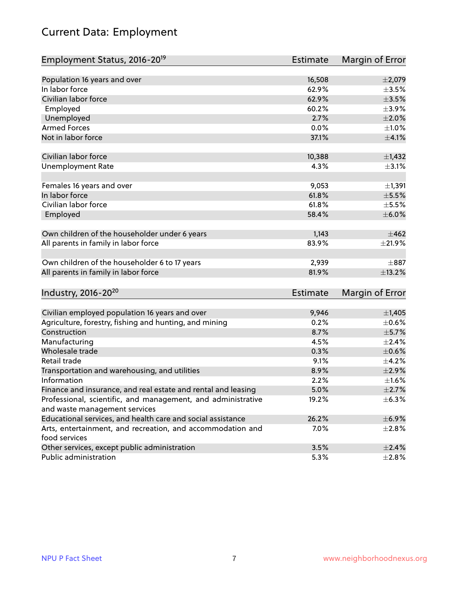## Current Data: Employment

| Employment Status, 2016-20 <sup>19</sup>                                    | Estimate        | Margin of Error |
|-----------------------------------------------------------------------------|-----------------|-----------------|
|                                                                             |                 |                 |
| Population 16 years and over                                                | 16,508          | $\pm 2,079$     |
| In labor force                                                              | 62.9%           | $\pm$ 3.5%      |
| Civilian labor force                                                        | 62.9%           | $\pm 3.5\%$     |
| Employed                                                                    | 60.2%           | $\pm$ 3.9%      |
| Unemployed                                                                  | 2.7%            | $\pm 2.0\%$     |
| <b>Armed Forces</b>                                                         | 0.0%            | $\pm 1.0\%$     |
| Not in labor force                                                          | 37.1%           | $\pm$ 4.1%      |
|                                                                             |                 |                 |
| Civilian labor force                                                        | 10,388          | $\pm$ 1,432     |
| <b>Unemployment Rate</b>                                                    | 4.3%            | $\pm$ 3.1%      |
| Females 16 years and over                                                   | 9,053           | ±1,391          |
| In labor force                                                              | 61.8%           | $\pm$ 5.5%      |
| Civilian labor force                                                        | 61.8%           | $\pm$ 5.5%      |
| Employed                                                                    | 58.4%           | $\pm$ 6.0%      |
|                                                                             |                 |                 |
| Own children of the householder under 6 years                               | 1,143           | ±462            |
| All parents in family in labor force                                        | 83.9%           | $\pm 21.9\%$    |
|                                                                             |                 |                 |
| Own children of the householder 6 to 17 years                               | 2,939           | $\pm$ 887       |
| All parents in family in labor force                                        | 81.9%           | ±13.2%          |
|                                                                             |                 |                 |
| Industry, 2016-20 <sup>20</sup>                                             | <b>Estimate</b> | Margin of Error |
|                                                                             |                 |                 |
| Civilian employed population 16 years and over                              | 9,946           | $\pm$ 1,405     |
| Agriculture, forestry, fishing and hunting, and mining                      | 0.2%            | $\pm$ 0.6%      |
| Construction                                                                | 8.7%            | $\pm$ 5.7%      |
| Manufacturing                                                               | 4.5%            | $\pm 2.4\%$     |
| Wholesale trade                                                             | 0.3%            | $\pm$ 0.6%      |
| Retail trade                                                                | 9.1%            | $\pm$ 4.2%      |
| Transportation and warehousing, and utilities                               | 8.9%            | ±2.9%           |
| Information                                                                 | 2.2%            | ±1.6%           |
| Finance and insurance, and real estate and rental and leasing               | 5.0%            | $\pm 2.7\%$     |
| Professional, scientific, and management, and administrative                | 19.2%           | ±6.3%           |
| and waste management services                                               |                 |                 |
| Educational services, and health care and social assistance                 | 26.2%           | ±6.9%           |
| Arts, entertainment, and recreation, and accommodation and<br>food services | 7.0%            | $\pm 2.8\%$     |
| Other services, except public administration                                | 3.5%            | ±2.4%           |
| Public administration                                                       | 5.3%            | $\pm 2.8\%$     |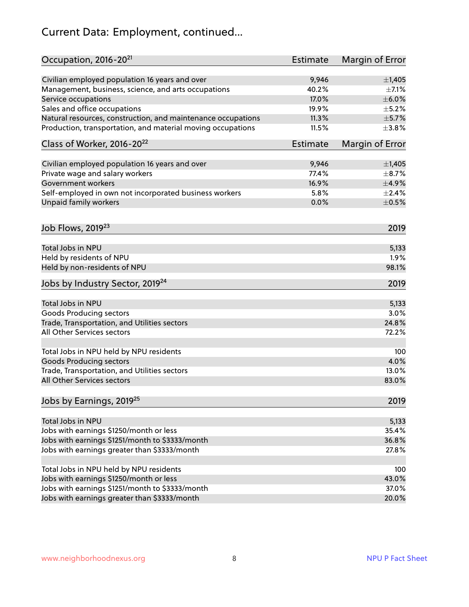## Current Data: Employment, continued...

| Occupation, 2016-20 <sup>21</sup>                                                 | <b>Estimate</b> | Margin of Error |
|-----------------------------------------------------------------------------------|-----------------|-----------------|
| Civilian employed population 16 years and over                                    | 9,946           | ±1,405          |
| Management, business, science, and arts occupations                               | 40.2%           | $\pm$ 7.1%      |
| Service occupations                                                               | 17.0%           | $\pm$ 6.0%      |
| Sales and office occupations                                                      | 19.9%           | $\pm$ 5.2%      |
| Natural resources, construction, and maintenance occupations                      | 11.3%           | $\pm$ 5.7%      |
| Production, transportation, and material moving occupations                       | 11.5%           | ±3.8%           |
| Class of Worker, 2016-20 <sup>22</sup>                                            | <b>Estimate</b> | Margin of Error |
|                                                                                   | 9,946           | $\pm$ 1,405     |
| Civilian employed population 16 years and over<br>Private wage and salary workers | 77.4%           | $\pm$ 8.7%      |
| Government workers                                                                | 16.9%           | $\pm$ 4.9%      |
|                                                                                   |                 |                 |
| Self-employed in own not incorporated business workers                            | 5.8%            | ±2.4%           |
| Unpaid family workers                                                             | 0.0%            | $\pm$ 0.5%      |
| Job Flows, 2019 <sup>23</sup>                                                     |                 | 2019            |
| Total Jobs in NPU                                                                 |                 | 5,133           |
| Held by residents of NPU                                                          |                 | 1.9%            |
| Held by non-residents of NPU                                                      |                 | 98.1%           |
|                                                                                   |                 |                 |
| Jobs by Industry Sector, 2019 <sup>24</sup>                                       |                 | 2019            |
| Total Jobs in NPU                                                                 |                 | 5,133           |
| <b>Goods Producing sectors</b>                                                    |                 | 3.0%            |
| Trade, Transportation, and Utilities sectors                                      |                 | 24.8%           |
| All Other Services sectors                                                        |                 | 72.2%           |
| Total Jobs in NPU held by NPU residents                                           |                 | 100             |
| <b>Goods Producing sectors</b>                                                    |                 | 4.0%            |
| Trade, Transportation, and Utilities sectors                                      |                 | 13.0%           |
| All Other Services sectors                                                        |                 | 83.0%           |
| Jobs by Earnings, 2019 <sup>25</sup>                                              |                 | 2019            |
| Total Jobs in NPU                                                                 |                 | 5,133           |
| Jobs with earnings \$1250/month or less                                           |                 | 35.4%           |
| Jobs with earnings \$1251/month to \$3333/month                                   |                 | 36.8%           |
| Jobs with earnings greater than \$3333/month                                      |                 | 27.8%           |
|                                                                                   |                 |                 |
| Total Jobs in NPU held by NPU residents                                           |                 | 100             |
| Jobs with earnings \$1250/month or less                                           |                 | 43.0%           |
| Jobs with earnings \$1251/month to \$3333/month                                   |                 | 37.0%           |
| Jobs with earnings greater than \$3333/month                                      |                 | 20.0%           |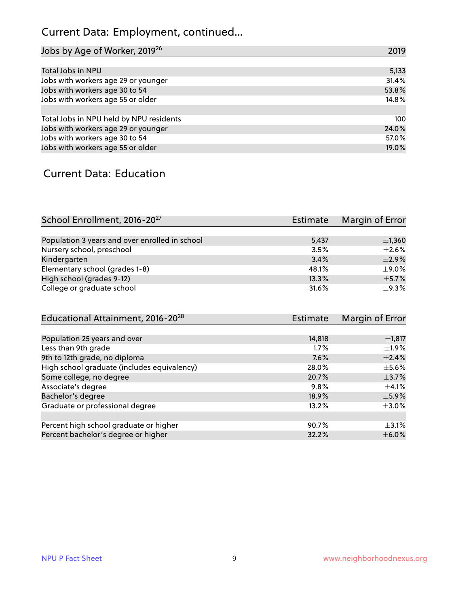## Current Data: Employment, continued...

| Jobs by Age of Worker, 2019 <sup>26</sup> | 2019  |
|-------------------------------------------|-------|
|                                           |       |
| Total Jobs in NPU                         | 5,133 |
| Jobs with workers age 29 or younger       | 31.4% |
| Jobs with workers age 30 to 54            | 53.8% |
| Jobs with workers age 55 or older         | 14.8% |
|                                           |       |
| Total Jobs in NPU held by NPU residents   | 100   |
| Jobs with workers age 29 or younger       | 24.0% |
| Jobs with workers age 30 to 54            | 57.0% |
| Jobs with workers age 55 or older         | 19.0% |

#### Current Data: Education

| School Enrollment, 2016-20 <sup>27</sup>       | Estimate | Margin of Error |
|------------------------------------------------|----------|-----------------|
|                                                |          |                 |
| Population 3 years and over enrolled in school | 5,437    | $\pm$ 1,360     |
| Nursery school, preschool                      | 3.5%     | $\pm 2.6\%$     |
| Kindergarten                                   | 3.4%     | $+2.9%$         |
| Elementary school (grades 1-8)                 | 48.1%    | $\pm$ 9.0%      |
| High school (grades 9-12)                      | 13.3%    | $\pm$ 5.7%      |
| College or graduate school                     | 31.6%    | $+9.3%$         |

| Educational Attainment, 2016-20 <sup>28</sup> | Estimate | Margin of Error |
|-----------------------------------------------|----------|-----------------|
|                                               |          |                 |
| Population 25 years and over                  | 14,818   | $\pm$ 1,817     |
| Less than 9th grade                           | 1.7%     | $\pm 1.9\%$     |
| 9th to 12th grade, no diploma                 | 7.6%     | $\pm 2.4\%$     |
| High school graduate (includes equivalency)   | 28.0%    | $\pm$ 5.6%      |
| Some college, no degree                       | 20.7%    | $\pm$ 3.7%      |
| Associate's degree                            | 9.8%     | $\pm$ 4.1%      |
| Bachelor's degree                             | 18.9%    | $\pm$ 5.9%      |
| Graduate or professional degree               | 13.2%    | $\pm 3.0\%$     |
|                                               |          |                 |
| Percent high school graduate or higher        | 90.7%    | $\pm$ 3.1%      |
| Percent bachelor's degree or higher           | 32.2%    | $\pm$ 6.0%      |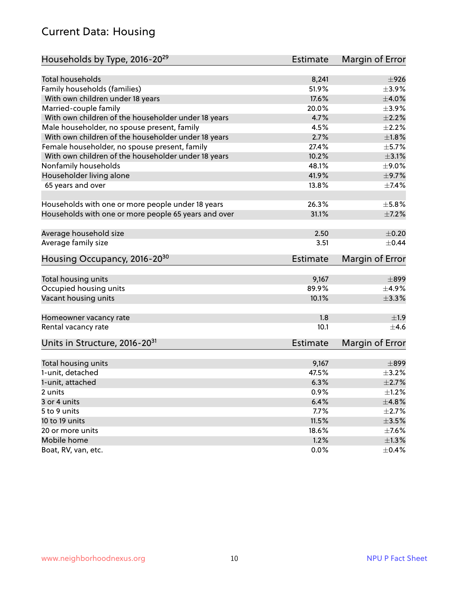#### Current Data: Housing

| Households by Type, 2016-20 <sup>29</sup>            | <b>Estimate</b> | Margin of Error |
|------------------------------------------------------|-----------------|-----------------|
|                                                      |                 |                 |
| <b>Total households</b>                              | 8,241           | $\pm$ 926       |
| Family households (families)                         | 51.9%           | $\pm$ 3.9%      |
| With own children under 18 years                     | 17.6%           | $\pm 4.0\%$     |
| Married-couple family                                | 20.0%           | $\pm$ 3.9%      |
| With own children of the householder under 18 years  | 4.7%            | $\pm 2.2\%$     |
| Male householder, no spouse present, family          | 4.5%            | $\pm 2.2\%$     |
| With own children of the householder under 18 years  | 2.7%            | $\pm1.8\%$      |
| Female householder, no spouse present, family        | 27.4%           | $\pm$ 5.7%      |
| With own children of the householder under 18 years  | 10.2%           | $\pm$ 3.1%      |
| Nonfamily households                                 | 48.1%           | $\pm$ 9.0%      |
| Householder living alone                             | 41.9%           | $\pm$ 9.7%      |
| 65 years and over                                    | 13.8%           | ±7.4%           |
|                                                      |                 |                 |
| Households with one or more people under 18 years    | 26.3%           | $\pm$ 5.8%      |
| Households with one or more people 65 years and over | 31.1%           | $\pm$ 7.2%      |
| Average household size                               | 2.50            | $\pm$ 0.20      |
| Average family size                                  | 3.51            | $\pm$ 0.44      |
| Housing Occupancy, 2016-20 <sup>30</sup>             | <b>Estimate</b> | Margin of Error |
|                                                      |                 |                 |
| Total housing units                                  | 9,167           | $\pm$ 899       |
| Occupied housing units                               | 89.9%           | $\pm$ 4.9%      |
| Vacant housing units                                 | 10.1%           | $\pm$ 3.3%      |
| Homeowner vacancy rate                               | 1.8             | ±1.9            |
| Rental vacancy rate                                  | 10.1            | ±4.6            |
| Units in Structure, 2016-20 <sup>31</sup>            | <b>Estimate</b> | Margin of Error |
|                                                      |                 |                 |
| Total housing units<br>1-unit, detached              | 9,167           | $\pm$ 899       |
|                                                      | 47.5%           | $\pm$ 3.2%      |
| 1-unit, attached                                     | 6.3%            | $\pm 2.7\%$     |
| 2 units                                              | 0.9%            | $\pm$ 1.2%      |
| 3 or 4 units                                         | 6.4%            | ±4.8%           |
| 5 to 9 units                                         | 7.7%            | $\pm$ 2.7%      |
| 10 to 19 units                                       | 11.5%           | $\pm$ 3.5%      |
| 20 or more units                                     | 18.6%           | $\pm$ 7.6%      |
| Mobile home                                          | 1.2%            | ±1.3%           |
| Boat, RV, van, etc.                                  | 0.0%            | $\pm$ 0.4%      |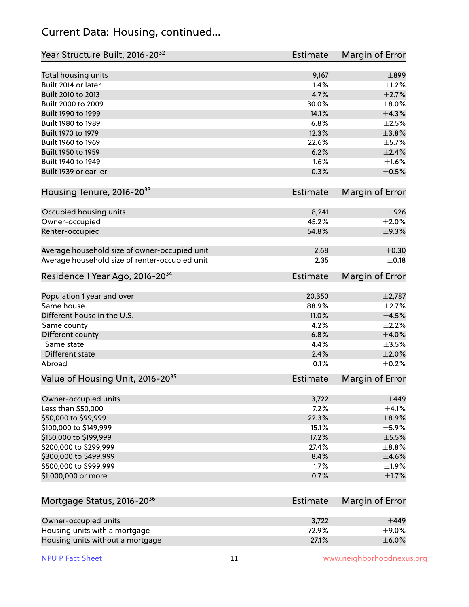#### Current Data: Housing, continued...

| Year Structure Built, 2016-20 <sup>32</sup>    | <b>Estimate</b> | Margin of Error |
|------------------------------------------------|-----------------|-----------------|
| Total housing units                            | 9,167           | $\pm$ 899       |
| Built 2014 or later                            | 1.4%            | $\pm 1.2\%$     |
| Built 2010 to 2013                             | 4.7%            | $\pm 2.7\%$     |
| Built 2000 to 2009                             | 30.0%           | $\pm 8.0\%$     |
| Built 1990 to 1999                             | 14.1%           | ±4.3%           |
| Built 1980 to 1989                             | 6.8%            | $\pm 2.5\%$     |
| Built 1970 to 1979                             | 12.3%           | $\pm 3.8\%$     |
| Built 1960 to 1969                             | 22.6%           | $\pm$ 5.7%      |
| Built 1950 to 1959                             | 6.2%            | $\pm 2.4\%$     |
| Built 1940 to 1949                             | 1.6%            | $\pm 1.6\%$     |
| Built 1939 or earlier                          | 0.3%            | $\pm$ 0.5%      |
| Housing Tenure, 2016-2033                      | <b>Estimate</b> | Margin of Error |
|                                                |                 |                 |
| Occupied housing units                         | 8,241           | $\pm$ 926       |
| Owner-occupied                                 | 45.2%           | $\pm 2.0\%$     |
| Renter-occupied                                | 54.8%           | ±9.3%           |
| Average household size of owner-occupied unit  | 2.68            | $\pm$ 0.30      |
| Average household size of renter-occupied unit | 2.35            | $\pm$ 0.18      |
| Residence 1 Year Ago, 2016-20 <sup>34</sup>    | <b>Estimate</b> | Margin of Error |
|                                                |                 | $\pm$ 2,787     |
| Population 1 year and over<br>Same house       | 20,350<br>88.9% | $\pm 2.7\%$     |
| Different house in the U.S.                    | 11.0%           | $\pm 4.5\%$     |
|                                                | 4.2%            | $\pm 2.2\%$     |
| Same county                                    | 6.8%            | $\pm 4.0\%$     |
| Different county<br>Same state                 | 4.4%            | $\pm$ 3.5%      |
| <b>Different state</b>                         | 2.4%            | $\pm 2.0\%$     |
| Abroad                                         | 0.1%            | $\pm$ 0.2%      |
|                                                |                 |                 |
| Value of Housing Unit, 2016-20 <sup>35</sup>   | Estimate        | Margin of Error |
| Owner-occupied units                           | 3,722           | $\pm$ 449       |
| Less than \$50,000                             | 7.2%            | $\pm$ 4.1%      |
| \$50,000 to \$99,999                           | 22.3%           | $\pm$ 8.9%      |
| \$100,000 to \$149,999                         | 15.1%           | $\pm$ 5.9%      |
| \$150,000 to \$199,999                         | 17.2%           | $\pm$ 5.5%      |
| \$200,000 to \$299,999                         | 27.4%           | $\pm$ 8.8%      |
| \$300,000 to \$499,999                         | 8.4%            | $\pm$ 4.6%      |
| \$500,000 to \$999,999                         | 1.7%            | $\pm$ 1.9%      |
| \$1,000,000 or more                            | 0.7%            | $\pm 1.7\%$     |
|                                                |                 |                 |
| Mortgage Status, 2016-20 <sup>36</sup>         | <b>Estimate</b> | Margin of Error |
| Owner-occupied units                           | 3,722           | $\pm$ 449       |
| Housing units with a mortgage                  | 72.9%           | $\pm$ 9.0%      |
| Housing units without a mortgage               | 27.1%           | $\pm$ 6.0%      |

Housing units without a mortgage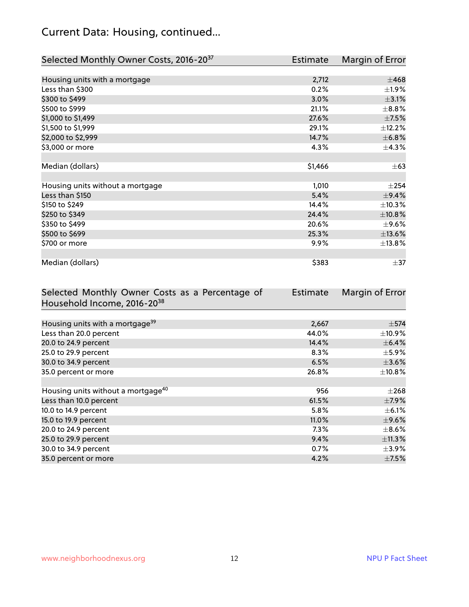## Current Data: Housing, continued...

| Selected Monthly Owner Costs, 2016-20 <sup>37</sup> | Estimate | Margin of Error |
|-----------------------------------------------------|----------|-----------------|
|                                                     |          |                 |
| Housing units with a mortgage                       | 2,712    | $\pm 468$       |
| Less than \$300                                     | 0.2%     | $\pm 1.9\%$     |
| \$300 to \$499                                      | 3.0%     | $\pm$ 3.1%      |
| \$500 to \$999                                      | 21.1%    | $\pm$ 8.8%      |
| \$1,000 to \$1,499                                  | 27.6%    | $\pm$ 7.5%      |
| \$1,500 to \$1,999                                  | 29.1%    | ±12.2%          |
| \$2,000 to \$2,999                                  | 14.7%    | ±6.8%           |
| \$3,000 or more                                     | 4.3%     | $\pm$ 4.3%      |
|                                                     |          |                 |
| Median (dollars)                                    | \$1,466  | $\pm$ 63        |
|                                                     |          |                 |
| Housing units without a mortgage                    | 1,010    | ±254            |
| Less than \$150                                     | 5.4%     | ±9.4%           |
| \$150 to \$249                                      | 14.4%    | ±10.3%          |
| \$250 to \$349                                      | 24.4%    | ±10.8%          |
| \$350 to \$499                                      | 20.6%    | $\pm$ 9.6%      |
| \$500 to \$699                                      | 25.3%    | ±13.6%          |
| \$700 or more                                       | 9.9%     | ±13.8%          |
|                                                     |          |                 |
| Median (dollars)                                    | \$383    | $\pm$ 37        |

| Selected Monthly Owner Costs as a Percentage of | <b>Estimate</b> | Margin of Error |
|-------------------------------------------------|-----------------|-----------------|
| Household Income, 2016-20 <sup>38</sup>         |                 |                 |
|                                                 |                 |                 |
| Housing units with a mortgage <sup>39</sup>     | 2,667           | $\pm$ 574       |
| Less than 20.0 percent                          | 44.0%           | $\pm$ 10.9%     |
| 20.0 to 24.9 percent                            | 14.4%           | $\pm$ 6.4%      |
| 25.0 to 29.9 percent                            | 8.3%            | $\pm$ 5.9%      |
| 30.0 to 34.9 percent                            | 6.5%            | $\pm$ 3.6%      |
| 35.0 percent or more                            | 26.8%           | $\pm$ 10.8%     |
|                                                 |                 |                 |
| Housing units without a mortgage <sup>40</sup>  | 956             | $\pm 268$       |
| Less than 10.0 percent                          | 61.5%           | $\pm$ 7.9%      |
| 10.0 to 14.9 percent                            | 5.8%            | $\pm$ 6.1%      |
| 15.0 to 19.9 percent                            | 11.0%           | $\pm$ 9.6%      |
| 20.0 to 24.9 percent                            | $7.3\%$         | $\pm$ 8.6%      |
| 25.0 to 29.9 percent                            | 9.4%            | ±11.3%          |
| 30.0 to 34.9 percent                            | 0.7%            | $\pm$ 3.9%      |
| 35.0 percent or more                            | 4.2%            | $\pm$ 7.5%      |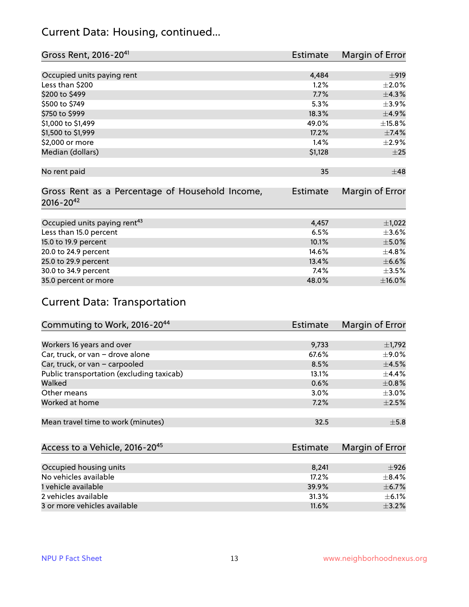#### Current Data: Housing, continued...

| Gross Rent, 2016-20 <sup>41</sup>               | <b>Estimate</b> | Margin of Error |
|-------------------------------------------------|-----------------|-----------------|
|                                                 |                 |                 |
| Occupied units paying rent                      | 4,484           | $\pm$ 919       |
| Less than \$200                                 | 1.2%            | $\pm 2.0\%$     |
| \$200 to \$499                                  | 7.7%            | ±4.3%           |
| \$500 to \$749                                  | 5.3%            | $\pm$ 3.9%      |
| \$750 to \$999                                  | 18.3%           | $\pm$ 4.9%      |
| \$1,000 to \$1,499                              | 49.0%           | ±15.8%          |
| \$1,500 to \$1,999                              | 17.2%           | ±7.4%           |
| \$2,000 or more                                 | 1.4%            | $\pm 2.9\%$     |
| Median (dollars)                                | \$1,128         | $\pm 25$        |
|                                                 |                 |                 |
| No rent paid                                    | 35              | $\pm$ 48        |
|                                                 |                 |                 |
| Gross Rent as a Percentage of Household Income, | <b>Estimate</b> | Margin of Error |
| $2016 - 20^{42}$                                |                 |                 |
|                                                 |                 |                 |
| Occupied units paying rent <sup>43</sup>        | 4,457           | $\pm$ 1,022     |
| Less than 15.0 percent                          | 6.5%            | $\pm 3.6\%$     |
| 15.0 to 19.9 percent                            | 10.1%           | $\pm$ 5.0%      |
| 20.0 to 24.9 percent                            | 14.6%           | ±4.8%           |
| 25.0 to 29.9 percent                            | 13.4%           | $\pm$ 6.6%      |
| 30.0 to 34.9 percent                            | 7.4%            | $\pm$ 3.5%      |
| 35.0 percent or more                            | 48.0%           | $\pm$ 16.0%     |

### Current Data: Transportation

| Commuting to Work, 2016-20 <sup>44</sup>  | <b>Estimate</b> | Margin of Error |
|-------------------------------------------|-----------------|-----------------|
|                                           |                 |                 |
| Workers 16 years and over                 | 9,733           | $\pm$ 1,792     |
| Car, truck, or van - drove alone          | 67.6%           | $±9.0\%$        |
| Car, truck, or van - carpooled            | 8.5%            | $\pm$ 4.5%      |
| Public transportation (excluding taxicab) | 13.1%           | $\pm$ 4.4%      |
| Walked                                    | 0.6%            | $\pm$ 0.8%      |
| Other means                               | 3.0%            | $\pm$ 3.0%      |
| Worked at home                            | 7.2%            | $\pm 2.5\%$     |
|                                           |                 |                 |
| Mean travel time to work (minutes)        | 32.5            | $\pm$ 5.8       |

| Access to a Vehicle, 2016-20 <sup>45</sup> | Estimate | Margin of Error |
|--------------------------------------------|----------|-----------------|
|                                            |          |                 |
| Occupied housing units                     | 8.241    | ±926            |
| No vehicles available                      | 17.2%    | $+8.4%$         |
| 1 vehicle available                        | 39.9%    | $\pm$ 6.7%      |
| 2 vehicles available                       | 31.3%    | $+6.1%$         |
| 3 or more vehicles available               | 11.6%    | $\pm$ 3.2%      |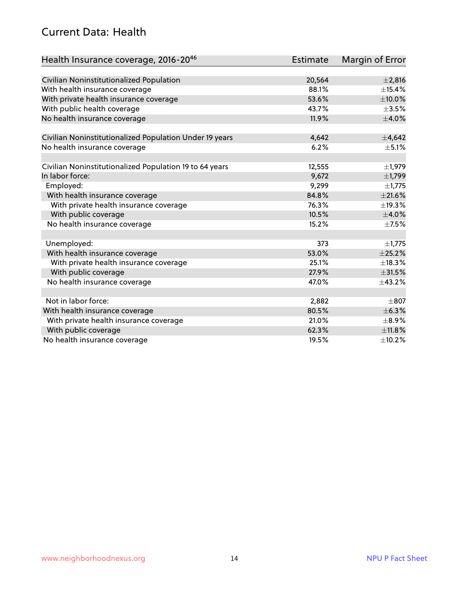#### Current Data: Health

| Health Insurance coverage, 2016-2046                    | Estimate | Margin of Error |
|---------------------------------------------------------|----------|-----------------|
|                                                         |          |                 |
| Civilian Noninstitutionalized Population                | 20,564   | $\pm 2,816$     |
| With health insurance coverage                          | 88.1%    | ±15.4%          |
| With private health insurance coverage                  | 53.6%    | $\pm$ 10.0%     |
| With public health coverage                             | 43.7%    | $\pm$ 3.5%      |
| No health insurance coverage                            | 11.9%    | $\pm$ 4.0%      |
|                                                         |          |                 |
| Civilian Noninstitutionalized Population Under 19 years | 4,642    | $\pm$ 4,642     |
| No health insurance coverage                            | 6.2%     | $\pm$ 5.1%      |
| Civilian Noninstitutionalized Population 19 to 64 years | 12,555   | $\pm$ 1,979     |
| In labor force:                                         | 9,672    | $\pm$ 1,799     |
| Employed:                                               | 9,299    | $\pm$ 1,775     |
| With health insurance coverage                          | 84.8%    | $\pm 21.6\%$    |
| With private health insurance coverage                  | 76.3%    | ±19.3%          |
| With public coverage                                    | 10.5%    | $\pm$ 4.0%      |
| No health insurance coverage                            | 15.2%    | $\pm$ 7.5%      |
|                                                         |          |                 |
| Unemployed:                                             | 373      | $\pm$ 1,775     |
| With health insurance coverage                          | 53.0%    | $\pm 25.2\%$    |
| With private health insurance coverage                  | 25.1%    | ±18.3%          |
| With public coverage                                    | 27.9%    | $\pm 31.5\%$    |
| No health insurance coverage                            | 47.0%    | $\pm$ 43.2%     |
|                                                         |          |                 |
| Not in labor force:                                     | 2,882    | $\pm$ 807       |
| With health insurance coverage                          | 80.5%    | ±6.3%           |
| With private health insurance coverage                  | 21.0%    | $\pm$ 8.9%      |
| With public coverage                                    | 62.3%    | ±11.8%          |
| No health insurance coverage                            | 19.5%    | ±10.2%          |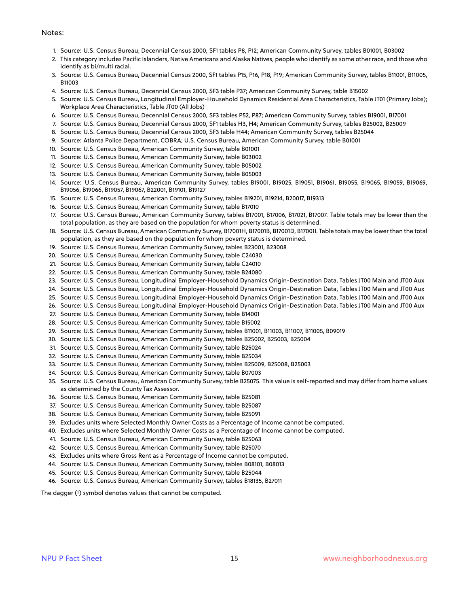#### Notes:

- 1. Source: U.S. Census Bureau, Decennial Census 2000, SF1 tables P8, P12; American Community Survey, tables B01001, B03002
- 2. This category includes Pacific Islanders, Native Americans and Alaska Natives, people who identify as some other race, and those who identify as bi/multi racial.
- 3. Source: U.S. Census Bureau, Decennial Census 2000, SF1 tables P15, P16, P18, P19; American Community Survey, tables B11001, B11005, B11003
- 4. Source: U.S. Census Bureau, Decennial Census 2000, SF3 table P37; American Community Survey, table B15002
- 5. Source: U.S. Census Bureau, Longitudinal Employer-Household Dynamics Residential Area Characteristics, Table JT01 (Primary Jobs); Workplace Area Characteristics, Table JT00 (All Jobs)
- 6. Source: U.S. Census Bureau, Decennial Census 2000, SF3 tables P52, P87; American Community Survey, tables B19001, B17001
- 7. Source: U.S. Census Bureau, Decennial Census 2000, SF1 tables H3, H4; American Community Survey, tables B25002, B25009
- 8. Source: U.S. Census Bureau, Decennial Census 2000, SF3 table H44; American Community Survey, tables B25044
- 9. Source: Atlanta Police Department, COBRA; U.S. Census Bureau, American Community Survey, table B01001
- 10. Source: U.S. Census Bureau, American Community Survey, table B01001
- 11. Source: U.S. Census Bureau, American Community Survey, table B03002
- 12. Source: U.S. Census Bureau, American Community Survey, table B05002
- 13. Source: U.S. Census Bureau, American Community Survey, table B05003
- 14. Source: U.S. Census Bureau, American Community Survey, tables B19001, B19025, B19051, B19061, B19055, B19065, B19059, B19069, B19056, B19066, B19057, B19067, B22001, B19101, B19127
- 15. Source: U.S. Census Bureau, American Community Survey, tables B19201, B19214, B20017, B19313
- 16. Source: U.S. Census Bureau, American Community Survey, table B17010
- 17. Source: U.S. Census Bureau, American Community Survey, tables B17001, B17006, B17021, B17007. Table totals may be lower than the total population, as they are based on the population for whom poverty status is determined.
- 18. Source: U.S. Census Bureau, American Community Survey, B17001H, B17001B, B17001D, B17001I. Table totals may be lower than the total population, as they are based on the population for whom poverty status is determined.
- 19. Source: U.S. Census Bureau, American Community Survey, tables B23001, B23008
- 20. Source: U.S. Census Bureau, American Community Survey, table C24030
- 21. Source: U.S. Census Bureau, American Community Survey, table C24010
- 22. Source: U.S. Census Bureau, American Community Survey, table B24080
- 23. Source: U.S. Census Bureau, Longitudinal Employer-Household Dynamics Origin-Destination Data, Tables JT00 Main and JT00 Aux
- 24. Source: U.S. Census Bureau, Longitudinal Employer-Household Dynamics Origin-Destination Data, Tables JT00 Main and JT00 Aux
- 25. Source: U.S. Census Bureau, Longitudinal Employer-Household Dynamics Origin-Destination Data, Tables JT00 Main and JT00 Aux
- 26. Source: U.S. Census Bureau, Longitudinal Employer-Household Dynamics Origin-Destination Data, Tables JT00 Main and JT00 Aux
- 27. Source: U.S. Census Bureau, American Community Survey, table B14001
- 28. Source: U.S. Census Bureau, American Community Survey, table B15002
- 29. Source: U.S. Census Bureau, American Community Survey, tables B11001, B11003, B11007, B11005, B09019
- 30. Source: U.S. Census Bureau, American Community Survey, tables B25002, B25003, B25004
- 31. Source: U.S. Census Bureau, American Community Survey, table B25024
- 32. Source: U.S. Census Bureau, American Community Survey, table B25034
- 33. Source: U.S. Census Bureau, American Community Survey, tables B25009, B25008, B25003
- 34. Source: U.S. Census Bureau, American Community Survey, table B07003
- 35. Source: U.S. Census Bureau, American Community Survey, table B25075. This value is self-reported and may differ from home values as determined by the County Tax Assessor.
- 36. Source: U.S. Census Bureau, American Community Survey, table B25081
- 37. Source: U.S. Census Bureau, American Community Survey, table B25087
- 38. Source: U.S. Census Bureau, American Community Survey, table B25091
- 39. Excludes units where Selected Monthly Owner Costs as a Percentage of Income cannot be computed.
- 40. Excludes units where Selected Monthly Owner Costs as a Percentage of Income cannot be computed.
- 41. Source: U.S. Census Bureau, American Community Survey, table B25063
- 42. Source: U.S. Census Bureau, American Community Survey, table B25070
- 43. Excludes units where Gross Rent as a Percentage of Income cannot be computed.
- 44. Source: U.S. Census Bureau, American Community Survey, tables B08101, B08013
- 45. Source: U.S. Census Bureau, American Community Survey, table B25044
- 46. Source: U.S. Census Bureau, American Community Survey, tables B18135, B27011

The dagger (†) symbol denotes values that cannot be computed.